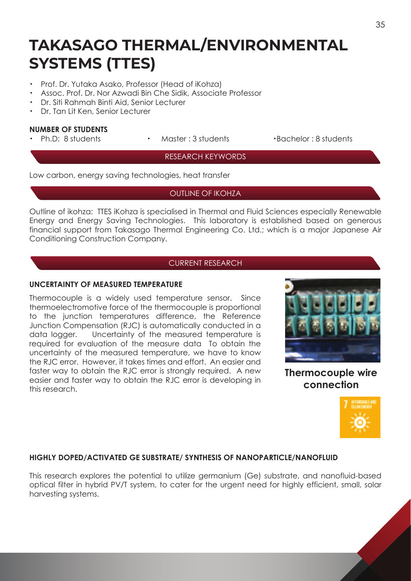# **TAKASAGO THERMAL/ENVIRONMENTAL SYSTEMS (TTES)**

- ・ Prof. Dr. Yutaka Asako, Professor (Head of iKohza)
- ・ Assoc. Prof. Dr. Nor Azwadi Bin Che Sidik, Associate Professor
- ・ Dr. Siti Rahmah Binti Aid, Senior Lecturer
- ・ Dr. Tan Lit Ken, Senior Lecturer

# **NUMBER OF STUDENTS**

- 
- 

Ph.D: 8 students · Master : 3 students · Bachelor : 8 students

#### RESEARCH KEYWORDS

Low carbon, energy saving technologies, heat transfer

## OUTLINE OF IKOHZA

Outline of ikohza: TTES iKohza is specialised in Thermal and Fluid Sciences especially Renewable Energy and Energy Saving Technologies. This laboratory is established based on generous financial support from Takasago Thermal Engineering Co. Ltd.; which is a major Japanese Air Conditioning Construction Company.

# CURRENT RESEARCH

# **UNCERTAINTY OF MEASURED TEMPERATURE**

Thermocouple is a widely used temperature sensor. Since thermoelectromotive force of the thermocouple is proportional to the junction temperatures difference, the Reference Junction Compensation (RJC) is automatically conducted in a data logger. Uncertainty of the measured temperature is required for evaluation of the measure data To obtain the uncertainty of the measured temperature, we have to know the RJC error. However, it takes times and effort. An easier and faster way to obtain the RJC error is strongly required. A new easier and faster way to obtain the RJC error is developing in this research.



**Thermocouple wire connection**



# **HIGHLY DOPED/ACTIVATED GE SUBSTRATE/ SYNTHESIS OF NANOPARTICLE/NANOFLUID**

This research explores the potential to utilize germanium (Ge) substrate, and nanofluid-based optical filter in hybrid PV/T system, to cater for the urgent need for highly efficient, small, solar harvesting systems.